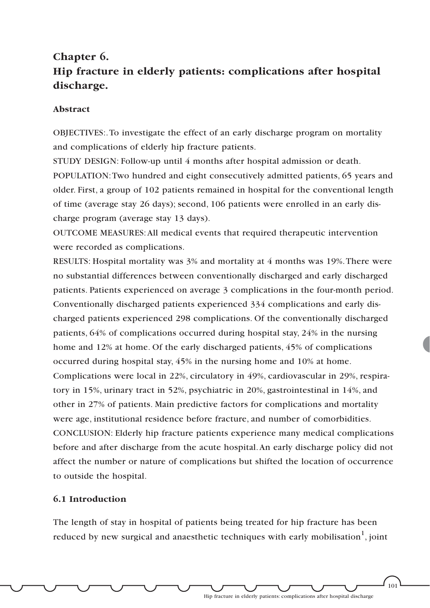# **Chapter 6. Hip fracture in elderly patients: complications after hospital discharge.**

### **Abstract**

OBJECTIVES:.To investigate the effect of an early discharge program on mortality and complications of elderly hip fracture patients.

STUDY DESIGN: Follow-up until 4 months after hospital admission or death. POPULATION:Two hundred and eight consecutively admitted patients, 65 years and older. First, a group of 102 patients remained in hospital for the conventional length of time (average stay 26 days); second, 106 patients were enrolled in an early discharge program (average stay 13 days).

OUTCOME MEASURES:All medical events that required therapeutic intervention were recorded as complications.

RESULTS: Hospital mortality was 3% and mortality at 4 months was 19%.There were no substantial differences between conventionally discharged and early discharged patients. Patients experienced on average 3 complications in the four-month period. Conventionally discharged patients experienced 334 complications and early discharged patients experienced 298 complications. Of the conventionally discharged patients, 64% of complications occurred during hospital stay, 24% in the nursing home and 12% at home. Of the early discharged patients, 45% of complications occurred during hospital stay, 45% in the nursing home and 10% at home. Complications were local in 22%, circulatory in 49%, cardiovascular in 29%, respiratory in 15%, urinary tract in 52%, psychiatric in 20%, gastrointestinal in 14%, and other in 27% of patients. Main predictive factors for complications and mortality were age, institutional residence before fracture, and number of comorbidities. CONCLUSION: Elderly hip fracture patients experience many medical complications before and after discharge from the acute hospital.An early discharge policy did not affect the number or nature of complications but shifted the location of occurrence to outside the hospital.

### **6.1 Introduction**

The length of stay in hospital of patients being treated for hip fracture has been reduced by new surgical and anaesthetic techniques with early mobilisation $^{\rm l}$ , joint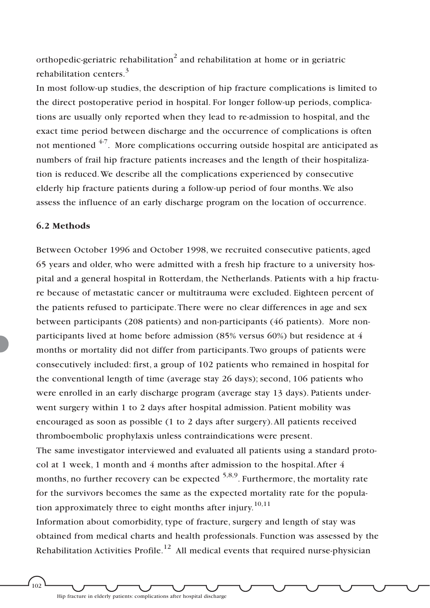orthopedic-geriatric rehabilitation<sup>2</sup> and rehabilitation at home or in geriatric rehabilitation centers.<sup>3</sup>

In most follow-up studies, the description of hip fracture complications is limited to the direct postoperative period in hospital. For longer follow-up periods, complications are usually only reported when they lead to re-admission to hospital, and the exact time period between discharge and the occurrence of complications is often not mentioned <sup>4-7</sup>. More complications occurring outside hospital are anticipated as numbers of frail hip fracture patients increases and the length of their hospitalization is reduced.We describe all the complications experienced by consecutive elderly hip fracture patients during a follow-up period of four months.We also assess the influence of an early discharge program on the location of occurrence.

### **6.2 Methods**

Between October 1996 and October 1998, we recruited consecutive patients, aged 65 years and older, who were admitted with a fresh hip fracture to a university hospital and a general hospital in Rotterdam, the Netherlands. Patients with a hip fracture because of metastatic cancer or multitrauma were excluded. Eighteen percent of the patients refused to participate.There were no clear differences in age and sex between participants (208 patients) and non-participants (46 patients). More nonparticipants lived at home before admission (85% versus 60%) but residence at 4 months or mortality did not differ from participants.Two groups of patients were consecutively included: first, a group of 102 patients who remained in hospital for the conventional length of time (average stay 26 days); second, 106 patients who were enrolled in an early discharge program (average stay 13 days). Patients underwent surgery within 1 to 2 days after hospital admission. Patient mobility was encouraged as soon as possible (1 to 2 days after surgery).All patients received thromboembolic prophylaxis unless contraindications were present.

The same investigator interviewed and evaluated all patients using a standard protocol at 1 week, 1 month and 4 months after admission to the hospital.After 4 months, no further recovery can be expected  $5,8,9$ . Furthermore, the mortality rate for the survivors becomes the same as the expected mortality rate for the population approximately three to eight months after injury.<sup>10,11</sup>

Information about comorbidity, type of fracture, surgery and length of stay was obtained from medical charts and health professionals. Function was assessed by the Rehabilitation Activities Profile.<sup>12</sup> All medical events that required nurse-physician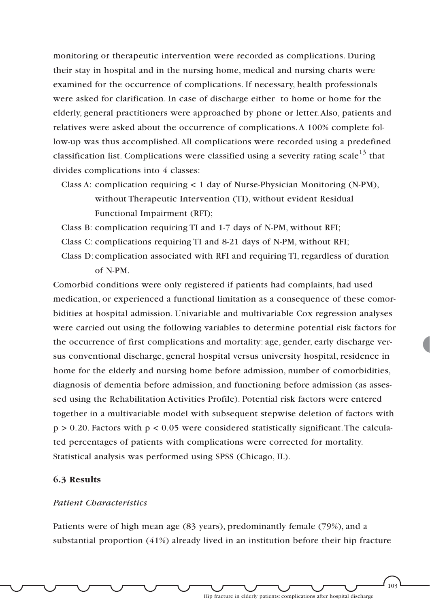monitoring or therapeutic intervention were recorded as complications. During their stay in hospital and in the nursing home, medical and nursing charts were examined for the occurrence of complications. If necessary, health professionals were asked for clarification. In case of discharge either to home or home for the elderly, general practitioners were approached by phone or letter.Also, patients and relatives were asked about the occurrence of complications.A 100% complete follow-up was thus accomplished.All complications were recorded using a predefined classification list. Complications were classified using a severity rating scale<sup>13</sup> that divides complications into 4 classes:

- Class A: complication requiring < 1 day of Nurse-Physician Monitoring (N-PM), without Therapeutic Intervention (TI), without evident Residual Functional Impairment (RFI);
- Class B: complication requiring TI and 1-7 days of N-PM, without RFI;
- Class C: complications requiring TI and 8-21 days of N-PM, without RFI;
- Class D: complication associated with RFI and requiring TI, regardless of duration of N-PM.

Comorbid conditions were only registered if patients had complaints, had used medication, or experienced a functional limitation as a consequence of these comorbidities at hospital admission. Univariable and multivariable Cox regression analyses were carried out using the following variables to determine potential risk factors for the occurrence of first complications and mortality: age, gender, early discharge versus conventional discharge, general hospital versus university hospital, residence in home for the elderly and nursing home before admission, number of comorbidities, diagnosis of dementia before admission, and functioning before admission (as assessed using the Rehabilitation Activities Profile). Potential risk factors were entered together in a multivariable model with subsequent stepwise deletion of factors with  $p > 0.20$ . Factors with  $p < 0.05$  were considered statistically significant. The calculated percentages of patients with complications were corrected for mortality. Statistical analysis was performed using SPSS (Chicago, IL).

### **6.3 Results**

### *Patient Characteristics*

Patients were of high mean age (83 years), predominantly female (79%), and a substantial proportion (41%) already lived in an institution before their hip fracture

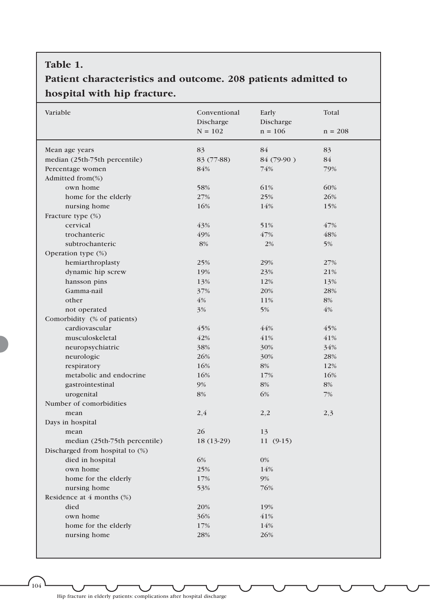### **Table 1.**

## **Patient characteristics and outcome. 208 patients admitted to hospital with hip fracture.**

| Variable                        | Conventional<br>Discharge | Early<br>Discharge | Total     |
|---------------------------------|---------------------------|--------------------|-----------|
|                                 | $N = 102$                 | $n = 106$          | $n = 208$ |
| Mean age years                  | 83                        | 84                 | 83        |
| median (25th-75th percentile)   | 83 (77-88)                | 84 (79-90)         | 84        |
| Percentage women                | 84%                       | 74%                | 79%       |
| Admitted from(%)                |                           |                    |           |
| own home                        | 58%                       | 61%                | 60%       |
| home for the elderly            | 27%                       | 25%                | 26%       |
| nursing home                    | 16%                       | 14%                | 15%       |
| Fracture type (%)               |                           |                    |           |
| cervical                        | 43%                       | 51%                | 47%       |
| trochanteric                    | 49%                       | 47%                | 48%       |
| subtrochanteric                 | 8%                        | 2%                 | 5%        |
| Operation type (%)              |                           |                    |           |
| hemiarthroplasty                | 25%                       | 29%                | 27%       |
| dynamic hip screw               | 19%                       | 23%                | 21%       |
| hansson pins                    | 13%                       | 12%                | 13%       |
| Gamma-nail                      | 37%                       | 20%                | 28%       |
| other                           | 4%                        | 11%                | 8%        |
| not operated                    | 3%                        | 5%                 | 4%        |
| Comorbidity (% of patients)     |                           |                    |           |
| cardiovascular                  | 45%                       | 44%                | 45%       |
| musculoskeletal                 | 42%                       | 41%                | 41%       |
| neuropsychiatric                | 38%                       | 30%                | 34%       |
| neurologic                      | 26%                       | 30%                | 28%       |
| respiratory                     | 16%                       | 8%                 | 12%       |
| metabolic and endocrine         | 16%                       | 17%                | 16%       |
| gastrointestinal                | 9%                        | 8%                 | 8%        |
| urogenital                      | 8%                        | 6%                 | 7%        |
| Number of comorbidities         |                           |                    |           |
| mean                            | 2,4                       | 2,2                | 2,3       |
| Days in hospital                |                           |                    |           |
| mean                            | 26                        | 13                 |           |
| median (25th-75th percentile)   | 18 (13-29)                | $11(9-15)$         |           |
| Discharged from hospital to (%) |                           |                    |           |
| died in hospital                | 6%                        | 0%                 |           |
| own home                        | 25%                       | 14%                |           |
| home for the elderly            | 17%                       | 9%                 |           |
| nursing home                    | 53%                       | 76%                |           |
| Residence at $4$ months $(\%)$  |                           |                    |           |
| died                            | 20%                       | 19%                |           |
| own home                        | 36%                       | 41%                |           |
| home for the elderly            | 17%                       | 14%                |           |
| nursing home                    | 28%                       | 26%                |           |
|                                 |                           |                    |           |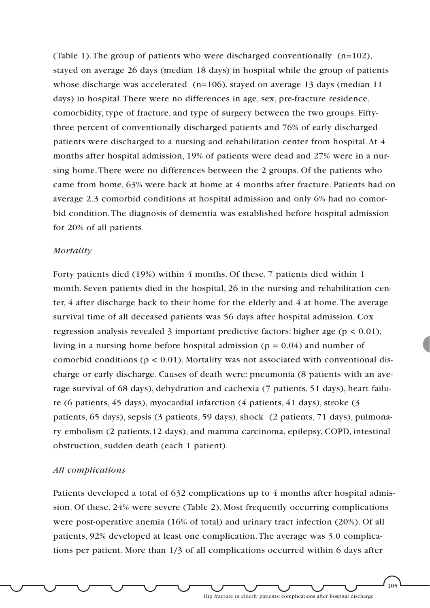(Table 1).The group of patients who were discharged conventionally (n=102), stayed on average 26 days (median 18 days) in hospital while the group of patients whose discharge was accelerated (n=106), stayed on average 13 days (median 11 days) in hospital.There were no differences in age, sex, pre-fracture residence, comorbidity, type of fracture, and type of surgery between the two groups. Fiftythree percent of conventionally discharged patients and 76% of early discharged patients were discharged to a nursing and rehabilitation center from hospital.At 4 months after hospital admission, 19% of patients were dead and 27% were in a nursing home.There were no differences between the 2 groups. Of the patients who came from home, 63% were back at home at 4 months after fracture. Patients had on average 2.3 comorbid conditions at hospital admission and only 6% had no comorbid condition.The diagnosis of dementia was established before hospital admission for 20% of all patients.

#### *Mortality*

Forty patients died (19%) within 4 months. Of these, 7 patients died within 1 month. Seven patients died in the hospital, 26 in the nursing and rehabilitation center, 4 after discharge back to their home for the elderly and 4 at home.The average survival time of all deceased patients was 56 days after hospital admission. Cox regression analysis revealed 3 important predictive factors: higher age ( $p < 0.01$ ), living in a nursing home before hospital admission ( $p = 0.04$ ) and number of comorbid conditions ( $p < 0.01$ ). Mortality was not associated with conventional discharge or early discharge. Causes of death were: pneumonia (8 patients with an average survival of 68 days), dehydration and cachexia (7 patients, 51 days), heart failure (6 patients, 45 days), myocardial infarction (4 patients, 41 days), stroke (3 patients, 65 days), sepsis (3 patients, 59 days), shock (2 patients, 71 days), pulmonary embolism (2 patients,12 days), and mamma carcinoma, epilepsy, COPD, intestinal obstruction, sudden death (each 1 patient).

#### *All complications*

Patients developed a total of 632 complications up to 4 months after hospital admission. Of these, 24% were severe (Table 2). Most frequently occurring complications were post-operative anemia (16% of total) and urinary tract infection (20%). Of all patients, 92% developed at least one complication.The average was 3.0 complications per patient. More than 1/3 of all complications occurred within 6 days after

Hip fracture in elderly patients: complications after hospital discharge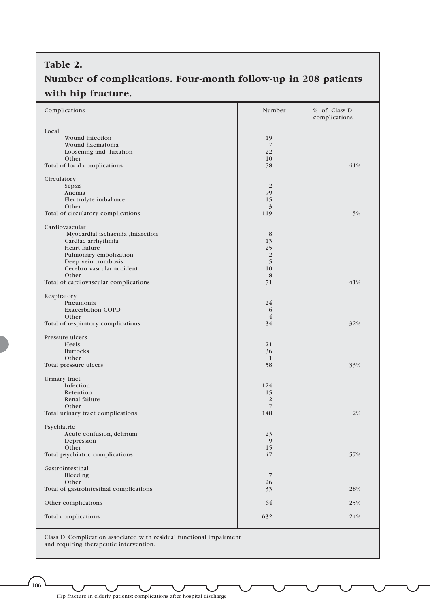## **Table 2.**

## **Number of complications. Four-month follow-up in 208 patients with hip fracture.**

| Complications                                    | Number               | % of Class D<br>complications |
|--------------------------------------------------|----------------------|-------------------------------|
| Local                                            |                      |                               |
| Wound infection                                  | 19                   |                               |
| Wound haematoma<br>Loosening and luxation        | $\overline{7}$<br>22 |                               |
| Other                                            | 10                   |                               |
| Total of local complications                     | 58                   | 41%                           |
|                                                  |                      |                               |
| Circulatory                                      |                      |                               |
| Sepsis                                           | $\overline{2}$       |                               |
| Anemia                                           | 99                   |                               |
| Electrolyte imbalance                            | 15                   |                               |
| Other<br>Total of circulatory complications      | 3<br>119             | 5%                            |
|                                                  |                      |                               |
| Cardiovascular                                   |                      |                               |
| Myocardial ischaemia ,infarction                 | 8                    |                               |
| Cardiac arrhythmia                               | 13                   |                               |
| Heart failure                                    | 25                   |                               |
| Pulmonary embolization                           | $\overline{2}$       |                               |
| Deep vein trombosis<br>Cerebro vascular accident | 5                    |                               |
| Other                                            | 10<br>8              |                               |
| Total of cardiovascular complications            | 71                   | 41%                           |
|                                                  |                      |                               |
| Respiratory                                      |                      |                               |
| Pneumonia                                        | 24                   |                               |
| <b>Exacerbation COPD</b>                         | 6                    |                               |
| Other                                            | $\overline{4}$       |                               |
| Total of respiratory complications               | 34                   | 32%                           |
| Pressure ulcers                                  |                      |                               |
| <b>Heels</b>                                     | 21                   |                               |
| <b>Buttocks</b>                                  | 36                   |                               |
| Other                                            | $\mathbf{1}$         |                               |
| Total pressure ulcers                            | 58                   | 33%                           |
| Urinary tract                                    |                      |                               |
| Infection                                        | 124                  |                               |
| Retention                                        | 15                   |                               |
| Renal failure                                    | $\overline{2}$       |                               |
| Other                                            | $7\overline{ }$      |                               |
| Total urinary tract complications                | 148                  | 2%                            |
|                                                  |                      |                               |
| Psychiatric<br>Acute confusion, delirium         | 23                   |                               |
| Depression                                       | 9                    |                               |
| Other                                            | 15                   |                               |
| Total psychiatric complications                  | 47                   | 57%                           |
|                                                  |                      |                               |
| Gastrointestinal                                 |                      |                               |
| Bleeding                                         | $\overline{7}$       |                               |
| Other<br>Total of gastrointestinal complications | 26<br>33             | 28%                           |
|                                                  |                      |                               |
| Other complications                              | 64                   | 25%                           |
|                                                  |                      |                               |
| Total complications                              | 632                  | 24%                           |
|                                                  |                      |                               |

Class D: Complication associated with residual functional impairment and requiring therapeutic intervention.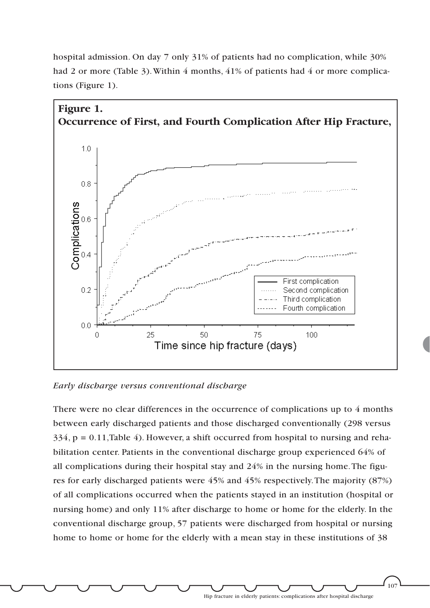

hospital admission. On day 7 only 31% of patients had no complication, while 30% had 2 or more (Table 3). Within 4 months, 41% of patients had 4 or more complications (Figure 1).

*Early discharge versus conventional discharge*

There were no clear differences in the occurrence of complications up to 4 months between early discharged patients and those discharged conventionally (298 versus 334, p = 0.11,Table 4). However, a shift occurred from hospital to nursing and rehabilitation center. Patients in the conventional discharge group experienced 64% of all complications during their hospital stay and 24% in the nursing home.The figures for early discharged patients were 45% and 45% respectively.The majority (87%) of all complications occurred when the patients stayed in an institution (hospital or nursing home) and only 11% after discharge to home or home for the elderly. In the conventional discharge group, 57 patients were discharged from hospital or nursing home to home or home for the elderly with a mean stay in these institutions of 38

Hip fracture in elderly patients: complications after hospital discharge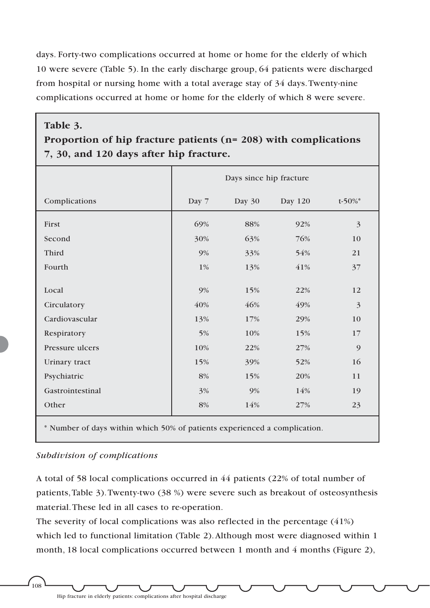days. Forty-two complications occurred at home or home for the elderly of which 10 were severe (Table 5). In the early discharge group, 64 patients were discharged from hospital or nursing home with a total average stay of 34 days.Twenty-nine complications occurred at home or home for the elderly of which 8 were severe.

### **Table 3.**

## **Proportion of hip fracture patients (n= 208) with complications 7, 30, and 120 days after hip fracture.**

|                  |       | Days since hip fracture |         |              |
|------------------|-------|-------------------------|---------|--------------|
| Complications    | Day 7 | Day 30                  | Day 120 | $t - 50\%$ * |
| First            | 69%   | 88%                     | 92%     | 3            |
| Second           | 30%   | 63%                     | 76%     | 10           |
| Third            | 9%    | 33%                     | 54%     | 21           |
| Fourth           | $1\%$ | 13%                     | 41%     | 37           |
| Local            | 9%    | 15%                     | 22%     | 12           |
| Circulatory      | 40%   | 46%                     | 49%     | 3            |
| Cardiovascular   | 13%   | 17%                     | 29%     | 10           |
| Respiratory      | 5%    | 10%                     | 15%     | 17           |
| Pressure ulcers  | 10%   | 22%                     | 27%     | 9            |
| Urinary tract    | 15%   | 39%                     | 52%     | 16           |
| Psychiatric      | 8%    | 15%                     | 20%     | 11           |
| Gastrointestinal | 3%    | 9%                      | 14%     | 19           |
| Other            | 8%    | 14%                     | 27%     | 23           |
|                  |       |                         |         |              |

\* Number of days within which 50% of patients experienced a complication.

### *Subdivision of complications*

A total of 58 local complications occurred in 44 patients (22% of total number of patients,Table 3).Twenty-two (38 %) were severe such as breakout of osteosynthesis material.These led in all cases to re-operation.

The severity of local complications was also reflected in the percentage (41%) which led to functional limitation (Table 2). Although most were diagnosed within 1 month, 18 local complications occurred between 1 month and 4 months (Figure 2),

Hip fracture in elderly patients: complications after hospital discharge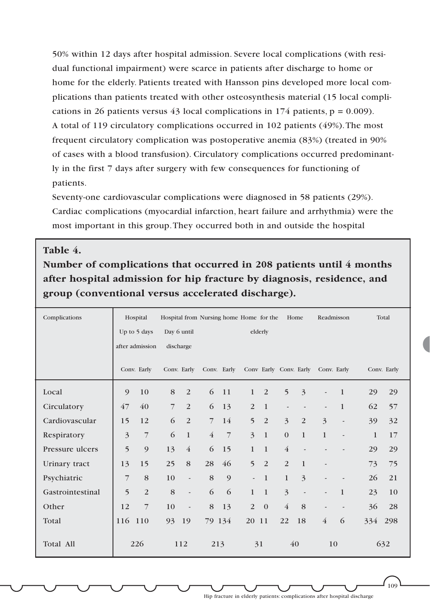50% within 12 days after hospital admission. Severe local complications (with residual functional impairment) were scarce in patients after discharge to home or home for the elderly. Patients treated with Hansson pins developed more local complications than patients treated with other osteosynthesis material (15 local complications in 26 patients versus 43 local complications in 174 patients,  $p = 0.009$ ). A total of 119 circulatory complications occurred in 102 patients (49%).The most frequent circulatory complication was postoperative anemia (83%) (treated in 90% of cases with a blood transfusion). Circulatory complications occurred predominantly in the first 7 days after surgery with few consequences for functioning of patients.

Seventy-one cardiovascular complications were diagnosed in 58 patients (29%). Cardiac complications (myocardial infarction, heart failure and arrhythmia) were the most important in this group.They occurred both in and outside the hospital

### **Table 4.**

**Number of complications that occurred in 208 patients until 4 months after hospital admission for hip fracture by diagnosis, residence, and group (conventional versus accelerated discharge).** 

| Complications    |                         | Hospital<br>Up to 5 days<br>after admission |                | Day 6 until<br>discharge |                | Hospital from Nursing home Home for the |                          | elderly        |                          | Home                     | Readmisson                         |                              |              | Total       |
|------------------|-------------------------|---------------------------------------------|----------------|--------------------------|----------------|-----------------------------------------|--------------------------|----------------|--------------------------|--------------------------|------------------------------------|------------------------------|--------------|-------------|
|                  |                         | Conv. Early                                 |                |                          |                | Conv. Early Conv. Early                 |                          |                |                          |                          | Conv Early Conv. Early Conv. Early |                              |              | Conv. Early |
| Local            | 9                       | 10                                          | 8              | 2                        | 6              | 11                                      | $\mathbf{1}$             | 2              | 5                        | 3                        | $\overline{a}$                     | $\mathbf{1}$                 | 29           | 29          |
| Circulatory      | 47                      | 40                                          | $\overline{7}$ | 2                        | 6              | 13                                      | $\overline{2}$           | $\mathbf{1}$   | $\overline{\phantom{a}}$ | $\overline{\phantom{m}}$ | $\overline{\phantom{a}}$           | $\mathbf{1}$                 | 62           | 57          |
| Cardiovascular   | 15                      | 12                                          | 6              | 2                        | $\overline{7}$ | 14                                      | 5                        | 2              | $\overline{3}$           | 2                        | 3                                  | $\qquad \qquad \blacksquare$ | 39           | 32          |
| Respiratory      | $\overline{\mathbf{3}}$ | $\overline{7}$                              | 6              | $\mathbf{1}$             | $\overline{4}$ | $\overline{7}$                          | 3                        | $\mathbf{1}$   | $\theta$                 | $\mathbf{1}$             | $\mathbf{1}$                       | $\qquad \qquad \blacksquare$ | $\mathbf{1}$ | 17          |
| Pressure ulcers  | 5                       | 9                                           | 13             | $\overline{4}$           | 6              | 15                                      | $\mathbf{1}$             | $\mathbf{1}$   | $\overline{4}$           | $\overline{\phantom{a}}$ |                                    |                              | 29           | 29          |
| Urinary tract    | 13                      | 15                                          | 25             | 8                        | 28             | 46                                      | 5                        | 2              | $\overline{2}$           | $\mathbf{1}$             | $\qquad \qquad \blacksquare$       |                              | 73           | 75          |
| Psychiatric      | 7                       | 8                                           | 10             | $\overline{\phantom{a}}$ | 8              | 9                                       | $\overline{\phantom{a}}$ | $\mathbf{1}$   | $\mathbf{1}$             | 3                        |                                    |                              | 26           | 21          |
| Gastrointestinal | 5                       | $\overline{2}$                              | 8              | $\overline{\phantom{a}}$ | 6              | 6                                       | $\mathbf{1}$             | $\overline{1}$ | $\overline{3}$           | $\overline{\phantom{a}}$ | $\overline{\phantom{a}}$           | $\mathbf{1}$                 | 23           | 10          |
| Other            | 12                      | $\overline{7}$                              | 10             | $\overline{\phantom{a}}$ | 8              | 13                                      | 2                        | $\mathbf{0}$   | $\overline{4}$           | 8                        | $\overline{\phantom{a}}$           | $\overline{\phantom{a}}$     | 36           | 28          |
| Total            | 116                     | 110                                         | 93             | 19                       |                | 79 134                                  | 20                       | 11             | 22                       | 18                       | $\overline{4}$                     | 6                            | 334          | 298         |
| Total All        |                         | 226                                         |                | 112                      | 213            |                                         |                          | 31             |                          | 40                       | 10                                 |                              |              | 632         |

109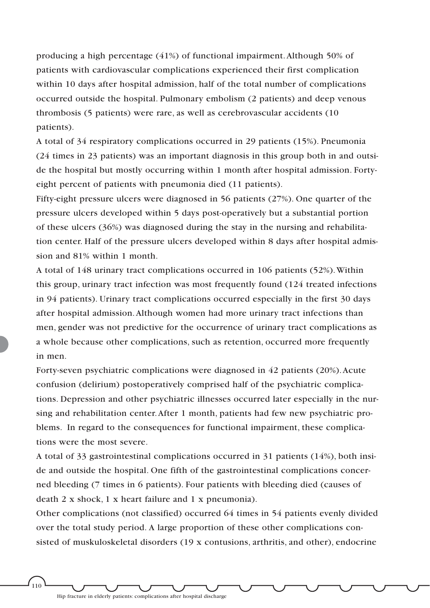producing a high percentage (41%) of functional impairment.Although 50% of patients with cardiovascular complications experienced their first complication within 10 days after hospital admission, half of the total number of complications occurred outside the hospital. Pulmonary embolism (2 patients) and deep venous thrombosis (5 patients) were rare, as well as cerebrovascular accidents (10 patients).

A total of 34 respiratory complications occurred in 29 patients (15%). Pneumonia (24 times in 23 patients) was an important diagnosis in this group both in and outside the hospital but mostly occurring within 1 month after hospital admission. Fortyeight percent of patients with pneumonia died (11 patients).

Fifty-eight pressure ulcers were diagnosed in 56 patients (27%). One quarter of the pressure ulcers developed within 5 days post-operatively but a substantial portion of these ulcers (36%) was diagnosed during the stay in the nursing and rehabilitation center. Half of the pressure ulcers developed within 8 days after hospital admission and 81% within 1 month.

A total of 148 urinary tract complications occurred in 106 patients (52%).Within this group, urinary tract infection was most frequently found (124 treated infections in 94 patients). Urinary tract complications occurred especially in the first 30 days after hospital admission.Although women had more urinary tract infections than men, gender was not predictive for the occurrence of urinary tract complications as a whole because other complications, such as retention, occurred more frequently in men.

Forty-seven psychiatric complications were diagnosed in 42 patients (20%).Acute confusion (delirium) postoperatively comprised half of the psychiatric complications. Depression and other psychiatric illnesses occurred later especially in the nursing and rehabilitation center.After 1 month, patients had few new psychiatric problems. In regard to the consequences for functional impairment, these complications were the most severe.

A total of 33 gastrointestinal complications occurred in 31 patients (14%), both inside and outside the hospital. One fifth of the gastrointestinal complications concerned bleeding (7 times in 6 patients). Four patients with bleeding died (causes of death 2 x shock, 1 x heart failure and 1 x pneumonia).

Other complications (not classified) occurred 64 times in 54 patients evenly divided over the total study period. A large proportion of these other complications consisted of muskuloskeletal disorders (19 x contusions, arthritis, and other), endocrine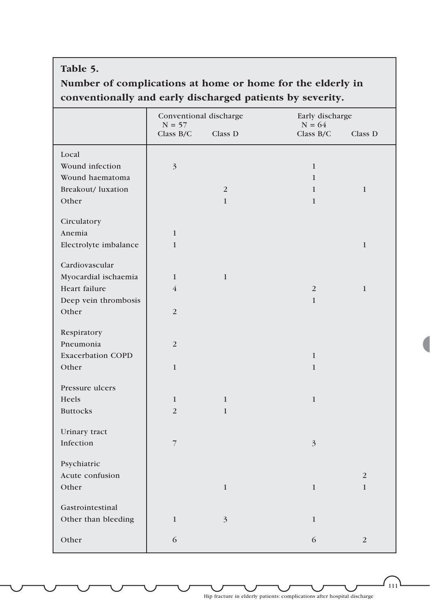### **Table 5.**

## **Number of complications at home or home for the elderly in conventionally and early discharged patients by severity.**

|                          | Conventional discharge  |                | Early discharge                    |
|--------------------------|-------------------------|----------------|------------------------------------|
|                          | $N = 57$<br>Class $B/C$ | Class D        | $N = 64$<br>Class $B/C$<br>Class D |
| Local                    |                         |                |                                    |
| Wound infection          | $\overline{\mathbf{3}}$ |                | $\mathbf{1}$                       |
| Wound haematoma          |                         |                | $\mathbf{1}$                       |
| Breakout/ luxation       |                         | $\overline{2}$ | $\mathbf{1}$<br>$\mathbf{1}$       |
| Other                    |                         | $\mathbf{1}$   | $\mathbf{1}$                       |
| Circulatory              |                         |                |                                    |
| Anemia                   | $\mathbf{1}$            |                |                                    |
| Electrolyte imbalance    | $\mathbf{1}$            |                | $\mathbf{1}$                       |
| Cardiovascular           |                         |                |                                    |
| Myocardial ischaemia     | $\mathbf{1}$            | $\mathbf{1}$   |                                    |
| Heart failure            | $\overline{4}$          |                | $\mathbf{1}$<br>2                  |
| Deep vein thrombosis     |                         |                | $\mathbf{1}$                       |
| Other                    | $\overline{2}$          |                |                                    |
|                          |                         |                |                                    |
| Respiratory              |                         |                |                                    |
| Pneumonia                | $\overline{2}$          |                |                                    |
| <b>Exacerbation COPD</b> |                         |                | $\mathbf{1}$                       |
| Other                    | $\mathbf{1}$            |                | $\mathbf{1}$                       |
| Pressure ulcers          |                         |                |                                    |
| Heels                    | $\mathbf{1}$            | $\mathbf{1}$   | $\mathbf{1}$                       |
| <b>Buttocks</b>          | $\overline{2}$          | $\mathbf{1}$   |                                    |
| Urinary tract            |                         |                |                                    |
| Infection                | $\overline{7}$          |                | $\overline{3}$                     |
|                          |                         |                |                                    |
| Psychiatric              |                         |                |                                    |
| Acute confusion          |                         |                | $\overline{2}$                     |
| Other                    |                         | $\mathbf{1}$   | $\mathbf{1}$<br>$\mathbf{1}$       |
| Gastrointestinal         |                         |                |                                    |
| Other than bleeding      | $\mathbf{1}$            | $\overline{3}$ | $\mathbf{1}$                       |
| Other                    | 6                       |                | 6<br>$\overline{2}$                |

 $111$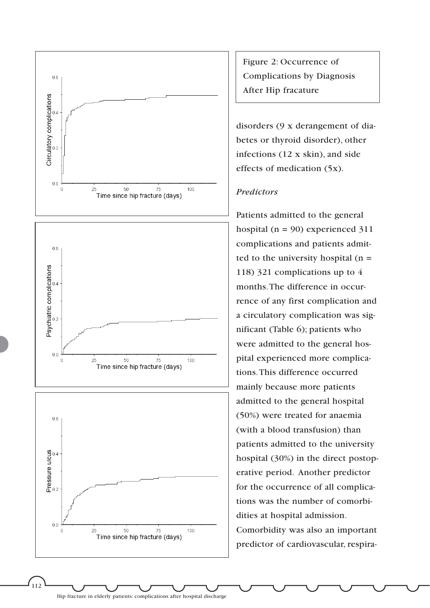

Figure 2: Occurrence of Complications by Diagnosis After Hip fracature

disorders (9 x derangement of diabetes or thyroid disorder), other infections (12 x skin), and side effects of medication (5x).

### *Predictors*

Patients admitted to the general hospital ( $n = 90$ ) experienced 311 complications and patients admitted to the university hospital  $(n =$ 118) 321 complications up to 4 months.The difference in occurrence of any first complication and a circulatory complication was significant (Table 6); patients who were admitted to the general hospital experienced more complications.This difference occurred mainly because more patients admitted to the general hospital (50%) were treated for anaemia (with a blood transfusion) than patients admitted to the university hospital (30%) in the direct postoperative period. Another predictor for the occurrence of all complications was the number of comorbidities at hospital admission. Comorbidity was also an important predictor of cardiovascular, respira-

Hip fracture in elderly patients: complications after hospital discharge

 $\binom{1}{112}$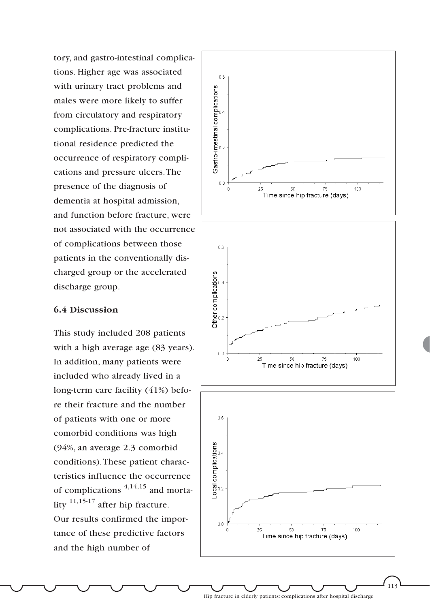tory, and gastro-intestinal complications. Higher age was associated with urinary tract problems and males were more likely to suffer from circulatory and respiratory complications. Pre-fracture institutional residence predicted the occurrence of respiratory complications and pressure ulcers.The presence of the diagnosis of dementia at hospital admission, and function before fracture, were not associated with the occurrence of complications between those patients in the conventionally discharged group or the accelerated discharge group.

### **6.4 Discussion**

This study included 208 patients with a high average age  $(83 \text{ years})$ . In addition, many patients were included who already lived in a long-term care facility (41%) before their fracture and the number of patients with one or more comorbid conditions was high (94%, an average 2.3 comorbid conditions).These patient characteristics influence the occurrence of complications  $4,14,15$  and mortality 11,15-17 after hip fracture. Our results confirmed the importance of these predictive factors and the high number of

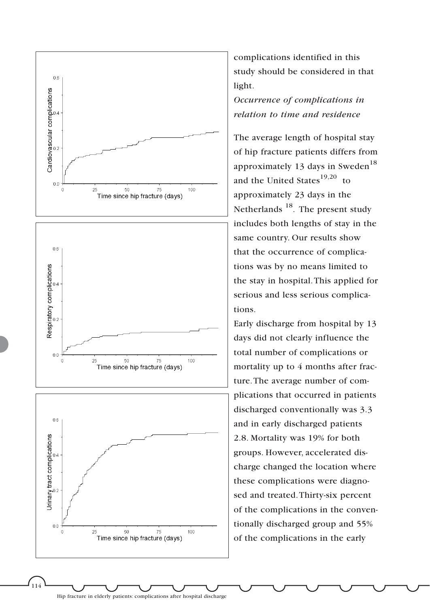

complications identified in this study should be considered in that light.

*Occurrence of complications in relation to time and residence*

The average length of hospital stay of hip fracture patients differs from approximately 13 days in Sweden<sup>18</sup> and the United States $19,20$  to approximately 23 days in the Netherlands<sup>18</sup>. The present study includes both lengths of stay in the same country. Our results show that the occurrence of complications was by no means limited to the stay in hospital.This applied for serious and less serious complications.

Early discharge from hospital by 13 days did not clearly influence the total number of complications or mortality up to 4 months after fracture.The average number of complications that occurred in patients discharged conventionally was 3.3 and in early discharged patients 2.8. Mortality was 19% for both groups. However, accelerated discharge changed the location where these complications were diagnosed and treated.Thirty-six percent of the complications in the conventionally discharged group and 55% of the complications in the early

Hip fracture in elderly patients: complications after hospital discharge

,<br>114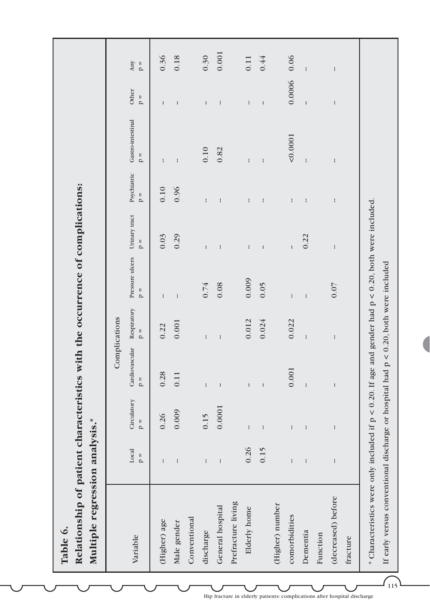| Relationship of patient characteristics with the occurrence of complications:<br>Multiple regression analysis.*<br>Table 6. |                           |                      |                                 |                              |                                        |               |                        |                            |                           |                        |
|-----------------------------------------------------------------------------------------------------------------------------|---------------------------|----------------------|---------------------------------|------------------------------|----------------------------------------|---------------|------------------------|----------------------------|---------------------------|------------------------|
|                                                                                                                             |                           |                      |                                 | Complications                |                                        |               |                        |                            |                           |                        |
| Variable                                                                                                                    | Local<br>$\frac{1}{\rho}$ | Circulatory<br>$p =$ | Cardiovascular<br>$\frac{1}{2}$ | Respiratory<br>$\frac{1}{2}$ | Pressure ulcers Urinary tract<br>$p =$ | $\frac{1}{2}$ | Psychiatric<br>$p =$   | Gastro-intestinal<br>$p =$ | Other<br>$\frac{1}{\rho}$ | Any<br>$\mathsf{p}$ =  |
| (Higher) age                                                                                                                | H                         | 0.26                 | 0.28                            | 0.22                         | ł                                      | 0.03          | 0.10                   | $\mathbf{I}$               | $\mathbf{I}$              | 0.36                   |
| Male gender                                                                                                                 | ł                         | 0.009                | 0.11                            | 0.001                        | $\mathbf{I}$                           | 0.29          | 0.96                   | $\mathfrak l$              | ł                         | 0.18                   |
| Conventional                                                                                                                |                           |                      |                                 |                              |                                        |               |                        |                            |                           |                        |
| discharge                                                                                                                   | $\mathsf{I}$              | 0.15                 | $\mathsf{I}$                    | $\mathsf{I}$                 | 0.74                                   | $\mathbf{I}$  | $\mathsf{I}$           | 0.10                       | $\mathbf{I}$              | 0.30                   |
| General hospital                                                                                                            | $\mathbf{I}$              | 0.0001               | $\mathbf{I}$                    | $\mathbf{I}$                 | 0.08                                   | ł             | $\mathfrak l$          | 0.82                       | ł                         | 0.001                  |
| Prefracture living                                                                                                          |                           |                      |                                 |                              |                                        |               |                        |                            |                           |                        |
| Elderly home                                                                                                                | 0.26                      | $\mathsf{I}$         | $\mathsf{I}$                    | 0.012                        | 0.009                                  | $\mathsf{I}$  | $\mathsf{I}$           | $\mathsf{I}$               | $\mathsf{I}$              | 0.11                   |
|                                                                                                                             | 0.15                      | $\mathbf{I}$         | $\mathop{!}\nolimits$           | 0.024                        | 0.05                                   | ł             | ł                      | $\mathbf{I}$               | $\mathop{!}\nolimits$     | 0.44                   |
| (Higher) number                                                                                                             |                           |                      |                                 |                              |                                        |               |                        |                            |                           |                        |
| comorbidities                                                                                                               | ł                         | ł                    | 0.001                           | 0.022                        | $\mathbf{I}$                           | $\mathsf{I}$  | $\mathsf{I}$           | 0.0001                     | 0.0006                    | 0.06                   |
| Dementia                                                                                                                    | $\mathbf{I}$              | $\mathsf{I}$         | $\mathfrak{f}$                  | $\mathbf{I}$                 | $\mathfrak{t}$                         | 0.22          | $\mathop{!}\nolimits$  | $\mathfrak{f}$             | $\mathfrak{f}$            | $\mathfrak{t}$         |
| Function                                                                                                                    |                           |                      |                                 |                              |                                        |               |                        |                            |                           |                        |
| (decreased) before                                                                                                          | ł                         | $\mathsf{I}$         | $\mathbf{I}$                    | $\mathsf{I}$                 | $0.07$                                 | $\mathsf{I}$  | $\mathord{\mathsf{I}}$ | $\mathsf{I}$               | $\mathbf{I}$              | $\mathord{\mathsf{I}}$ |
| fracture                                                                                                                    |                           |                      |                                 |                              |                                        |               |                        |                            |                           |                        |
| * Characteristics were only included if $p < 0.20$ . If age and gender had $p < 0.20$ , both were included.                 |                           |                      |                                 |                              |                                        |               |                        |                            |                           |                        |
| If early versus conventional discharge or hospital had $p < 0.20$ , both were included                                      |                           |                      |                                 |                              |                                        |               |                        |                            |                           |                        |
|                                                                                                                             |                           |                      |                                 |                              |                                        |               |                        |                            |                           |                        |

Hip fracture in elderly patients: complications after hospital discharge

 $\widehat{\mathcal{L}_{115}}$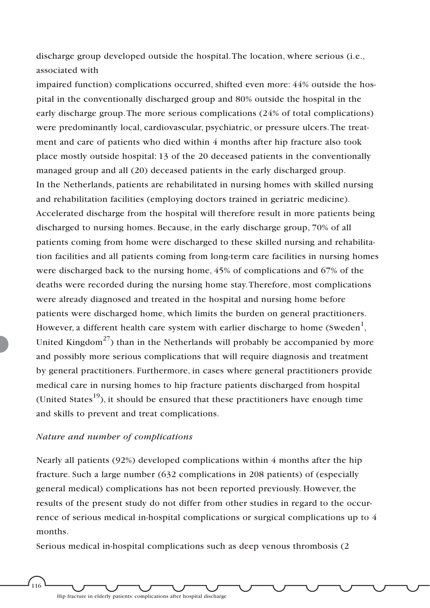discharge group developed outside the hospital.The location, where serious (i.e., associated with

impaired function) complications occurred, shifted even more: 44% outside the hospital in the conventionally discharged group and 80% outside the hospital in the early discharge group.The more serious complications (24% of total complications) were predominantly local, cardiovascular, psychiatric, or pressure ulcers.The treatment and care of patients who died within 4 months after hip fracture also took place mostly outside hospital: 13 of the 20 deceased patients in the conventionally managed group and all (20) deceased patients in the early discharged group. In the Netherlands, patients are rehabilitated in nursing homes with skilled nursing and rehabilitation facilities (employing doctors trained in geriatric medicine). Accelerated discharge from the hospital will therefore result in more patients being discharged to nursing homes. Because, in the early discharge group, 70% of all patients coming from home were discharged to these skilled nursing and rehabilitation facilities and all patients coming from long-term care facilities in nursing homes were discharged back to the nursing home, 45% of complications and 67% of the deaths were recorded during the nursing home stay.Therefore, most complications were already diagnosed and treated in the hospital and nursing home before patients were discharged home, which limits the burden on general practitioners. However, a different health care system with earlier discharge to home (Sweden $^1,$ United Kingdom<sup>27</sup>) than in the Netherlands will probably be accompanied by more and possibly more serious complications that will require diagnosis and treatment by general practitioners. Furthermore, in cases where general practitioners provide medical care in nursing homes to hip fracture patients discharged from hospital (United States $^{19}$ ), it should be ensured that these practitioners have enough time and skills to prevent and treat complications.

### *Nature and number of complications*

Nearly all patients (92%) developed complications within 4 months after the hip fracture. Such a large number (632 complications in 208 patients) of (especially general medical) complications has not been reported previously. However, the results of the present study do not differ from other studies in regard to the occurrence of serious medical in-hospital complications or surgical complications up to 4 months.

Serious medical in-hospital complications such as deep venous thrombosis (2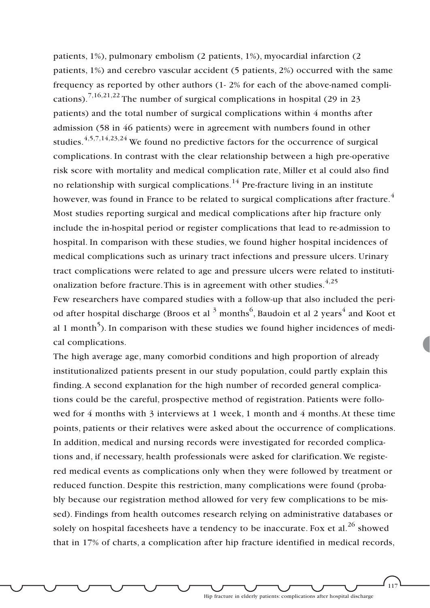patients, 1%), pulmonary embolism (2 patients, 1%), myocardial infarction (2 patients, 1%) and cerebro vascular accident (5 patients, 2%) occurred with the same frequency as reported by other authors (1- 2% for each of the above-named complications).<sup>7,16,21,22</sup> The number of surgical complications in hospital (29 in 23) patients) and the total number of surgical complications within 4 months after admission (58 in 46 patients) were in agreement with numbers found in other studies.4,5,7,14,23,24 We found no predictive factors for the occurrence of surgical complications. In contrast with the clear relationship between a high pre-operative risk score with mortality and medical complication rate, Miller et al could also find no relationship with surgical complications.<sup>14</sup> Pre-fracture living in an institute however, was found in France to be related to surgical complications after fracture.<sup>4</sup> Most studies reporting surgical and medical complications after hip fracture only include the in-hospital period or register complications that lead to re-admission to hospital. In comparison with these studies, we found higher hospital incidences of medical complications such as urinary tract infections and pressure ulcers. Urinary tract complications were related to age and pressure ulcers were related to institutionalization before fracture. This is in agreement with other studies.  $4.25$ Few researchers have compared studies with a follow-up that also included the period after hospital discharge (Broos et al  $^3$  months $^6$ , Baudoin et al 2 years $^4$  and Koot et al 1 month<sup>5</sup>). In comparison with these studies we found higher incidences of medi-

The high average age, many comorbid conditions and high proportion of already institutionalized patients present in our study population, could partly explain this finding.A second explanation for the high number of recorded general complications could be the careful, prospective method of registration. Patients were followed for 4 months with 3 interviews at 1 week, 1 month and 4 months.At these time points, patients or their relatives were asked about the occurrence of complications. In addition, medical and nursing records were investigated for recorded complications and, if necessary, health professionals were asked for clarification.We registered medical events as complications only when they were followed by treatment or reduced function. Despite this restriction, many complications were found (probably because our registration method allowed for very few complications to be missed). Findings from health outcomes research relying on administrative databases or solely on hospital facesheets have a tendency to be inaccurate. Fox et al.<sup>26</sup> showed that in 17% of charts, a complication after hip fracture identified in medical records,

cal complications.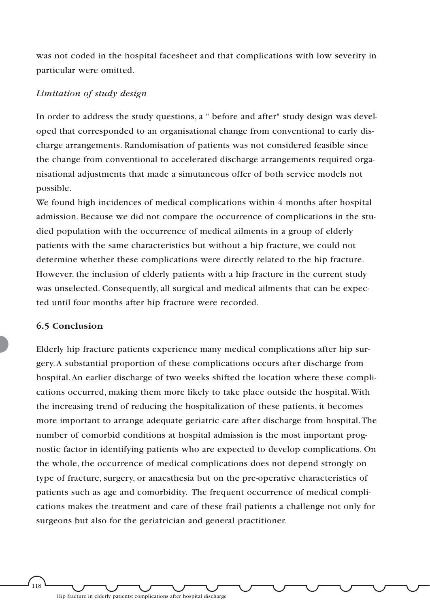was not coded in the hospital facesheet and that complications with low severity in particular were omitted.

### *Limitation of study design*

In order to address the study questions, a " before and after" study design was developed that corresponded to an organisational change from conventional to early discharge arrangements. Randomisation of patients was not considered feasible since the change from conventional to accelerated discharge arrangements required organisational adjustments that made a simutaneous offer of both service models not possible.

We found high incidences of medical complications within 4 months after hospital admission. Because we did not compare the occurrence of complications in the studied population with the occurrence of medical ailments in a group of elderly patients with the same characteristics but without a hip fracture, we could not determine whether these complications were directly related to the hip fracture. However, the inclusion of elderly patients with a hip fracture in the current study was unselected. Consequently, all surgical and medical ailments that can be expected until four months after hip fracture were recorded.

### **6.5 Conclusion**

י<br>118

Elderly hip fracture patients experience many medical complications after hip surgery.A substantial proportion of these complications occurs after discharge from hospital.An earlier discharge of two weeks shifted the location where these complications occurred, making them more likely to take place outside the hospital.With the increasing trend of reducing the hospitalization of these patients, it becomes more important to arrange adequate geriatric care after discharge from hospital.The number of comorbid conditions at hospital admission is the most important prognostic factor in identifying patients who are expected to develop complications. On the whole, the occurrence of medical complications does not depend strongly on type of fracture, surgery, or anaesthesia but on the pre-operative characteristics of patients such as age and comorbidity. The frequent occurrence of medical complications makes the treatment and care of these frail patients a challenge not only for surgeons but also for the geriatrician and general practitioner.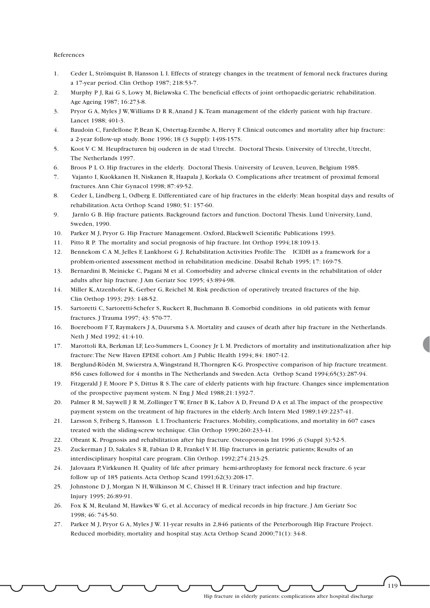#### References

- 1. Ceder L, Strömquist B, Hansson L I. Effects of strategy changes in the treatment of femoral neck fractures during a 17-year period. Clin Orthop 1987; 218:53-7.
- 2. Murphy P J, Rai G S, Lowy M, Bielawska C.The beneficial effects of joint orthopaedic-geriatric rehabilitation. Age Ageing 1987; 16:273-8.
- 3. Pryor G A, Myles J W,Williams D R R,Anand J K.Team management of the elderly patient with hip fracture. Lancet 1988; 401-3.
- 4. Baudoin C, Fardellone P, Bean K, Ostertag-Ezembe A, Hervy F. Clinical outcomes and mortality after hip fracture: a 2-year follow-up study. Bone 1996; 18 (3 Suppl): 149S-157S.
- 5. Koot V C M. Heupfracturen bij ouderen in de stad Utrecht. Doctoral Thesis. University of Utrecht, Utrecht, The Netherlands 1997.
- 6. Broos P L O. Hip fractures in the elderly. Doctoral Thesis. University of Leuven, Leuven, Belgium 1985.
- 7. Vajanto I, Kuokkanen H, Niskanen R, Haapala J, Korkala O. Complications after treatment of proximal femoral fractures.Ann Chir Gynacol 1998; 87:49-52.
- 8. Ceder L, Lindberg L, Odberg E. Differentiated care of hip fractures in the elderly: Mean hospital days and results of rehabilitation.Acta Orthop Scand 1980; 51: 157-60.
- 9. Jarnlo G B. Hip fracture patients. Background factors and function. Doctoral Thesis. Lund University, Lund, Sweden, 1990.
- 10. Parker M J, Pryor G. Hip Fracture Management. Oxford, Blackwell Scientific Publications 1993.
- 11. Pitto R P. The mortality and social prognosis of hip fracture. Int Orthop 1994;18:109-13.
- 12. Bennekom C A M, Jelles F, Lankhorst G J. Rehabilitation Activities Profile:The ICIDH as a framework for a problem-oriented assessment method in rehabilitation medicine. Disabil Rehab 1995; 17: 169-75.
- 13. Bernardini B, Meinicke C, Pagani M et al. Comorbidity and adverse clinical events in the rehabilitation of older adults after hip fracture. J Am Geriatr Soc 1995; 43:894-98.
- 14. Miller K,Atzenhofer K, Gerber G, Reichel M. Risk prediction of operatively treated fractures of the hip. Clin Orthop 1993; 293: 148-52.
- 15. Sartoretti C, Sartoretti-Schefer S, Ruckert R, Buchmann B. Comorbid conditions in old patients with femur fractures. J Trauma 1997; 43: 570-77.
- 16. Boereboom F T, Raymakers J A, Duursma S A. Mortality and causes of death after hip fracture in the Netherlands. Neth J Med 1992; 41:4-10.
- 17. Marottoli RA, Berkman LF, Leo-Summers L, Cooney Jr L M. Predictors of mortality and institutionalization after hip fracture:The New Haven EPESE cohort.Am J Public Health 1994; 84: 1807-12.
- 18. Berglund-Rödén M, Swierstra A,Wingstrand H,Thorngren K-G. Prospective comparison of hip fracture treatment. 856 cases followed for 4 months in The Netherlands and Sweden.Acta Orthop Scand 1994;65(3):287-94.
- 19. Fitzgerald J F, Moore P S, Dittus R S.The care of elderly patients with hip fracture. Changes since implementation of the prospective payment system. N Eng J Med 1988;21:1392-7.
- 20. Palmer R M, Saywell J R M, Zollinger T W, Erner B K, Labov A D, Freund D A et al.The impact of the prospective payment system on the treatment of hip fractures in the elderly.Arch Intern Med 1989;149:2237-41.
- 21. Larsson S, Friberg S, Hansson L I.Trochanteric Fractures. Mobility, complications, and mortality in 607 cases treated with the sliding-screw technique. Clin Orthop 1990;260:233-41.
- 22. Obrant K. Prognosis and rehabilitation after hip fracture. Osteoporosis Int 1996 ;6 (Suppl 3):52-5.
- 23. Zuckerman J D, Sakales S R, Fabian D R, Frankel V H. Hip fractures in geriatric patients; Results of an interdisciplinary hospital care program. Clin Orthop. 1992;274:213-25.
- 24. Jalovaara P,Virkkunen H. Quality of life after primary hemi-arthroplasty for femoral neck fracture. 6 year follow up of 185 patients.Acta Orthop Scand 1991;62(3):208-17.
- 25. Johnstone D J, Morgan N H,Wilkinson M C, Chissel H R. Urinary tract infection and hip fracture. Injury 1995; 26:89-91.
- 26. Fox K M, Reuland M, Hawkes W G, et al.Accuracy of medical records in hip fracture. J Am Geriatr Soc 1998; 46: 745-50.
- 27. Parker M J, Pryor G A, Myles J W. 11-year results in 2,846 patients of the Peterborough Hip Fracture Project. Reduced morbidity, mortality and hospital stay.Acta Orthop Scand 2000;71(1): 34-8.

Hip fracture in elderly patients: complications after hospital discharge